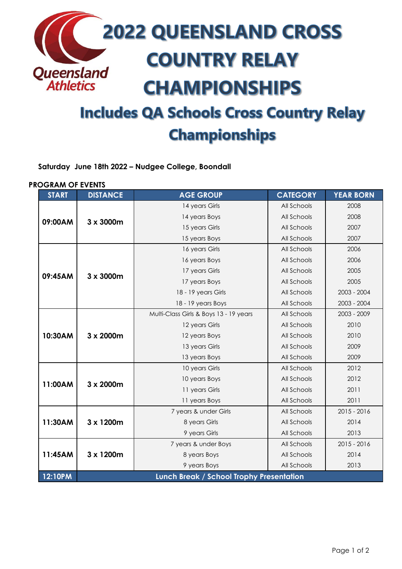

# **Championships**

**Saturday June 18th 2022 – Nudgee College, Boondall**

#### **PROGRAM OF EVENTS**

| <b>START</b> | <b>DISTANCE</b>                          | <b>AGE GROUP</b>                       | <b>CATEGORY</b> | <b>YEAR BORN</b> |  |
|--------------|------------------------------------------|----------------------------------------|-----------------|------------------|--|
| 09:00AM      | 3 x 3000m                                | 14 years Girls                         | All Schools     | 2008             |  |
|              |                                          | 14 years Boys                          | All Schools     | 2008             |  |
|              |                                          | 15 years Girls                         | All Schools     | 2007             |  |
|              |                                          | 15 years Boys                          | All Schools     | 2007             |  |
| 09:45AM      | 3 x 3000m                                | 16 years Girls                         | All Schools     | 2006             |  |
|              |                                          | 16 years Boys                          | All Schools     | 2006             |  |
|              |                                          | 17 years Girls                         | All Schools     | 2005             |  |
|              |                                          | 17 years Boys                          | All Schools     | 2005             |  |
|              |                                          | 18 - 19 years Girls                    | All Schools     | 2003 - 2004      |  |
|              |                                          | 18 - 19 years Boys                     | All Schools     | $2003 - 2004$    |  |
| 10:30AM      | 3 x 2000m                                | Multi-Class Girls & Boys 13 - 19 years | All Schools     | 2003 - 2009      |  |
|              |                                          | 12 years Girls                         | All Schools     | 2010             |  |
|              |                                          | 12 years Boys                          | All Schools     | 2010             |  |
|              |                                          | 13 years Girls                         | All Schools     | 2009             |  |
|              |                                          | 13 years Boys                          | All Schools     | 2009             |  |
| 11:00AM      | 3 x 2000m                                | 10 years Girls                         | All Schools     | 2012             |  |
|              |                                          | 10 years Boys                          | All Schools     | 2012             |  |
|              |                                          | 11 years Girls                         | All Schools     | 2011             |  |
|              |                                          | 11 years Boys                          | All Schools     | 2011             |  |
| 11:30AM      | 3 x 1200m                                | 7 years & under Girls                  | All Schools     | 2015 - 2016      |  |
|              |                                          | 8 years Girls                          | All Schools     | 2014             |  |
|              |                                          | 9 years Girls                          | All Schools     | 2013             |  |
| 11:45AM      | 3 x 1200m                                | 7 years & under Boys                   | All Schools     | 2015 - 2016      |  |
|              |                                          | 8 years Boys                           | All Schools     | 2014             |  |
|              |                                          | 9 years Boys                           | All Schools     | 2013             |  |
| 12:10PM      | Lunch Break / School Trophy Presentation |                                        |                 |                  |  |